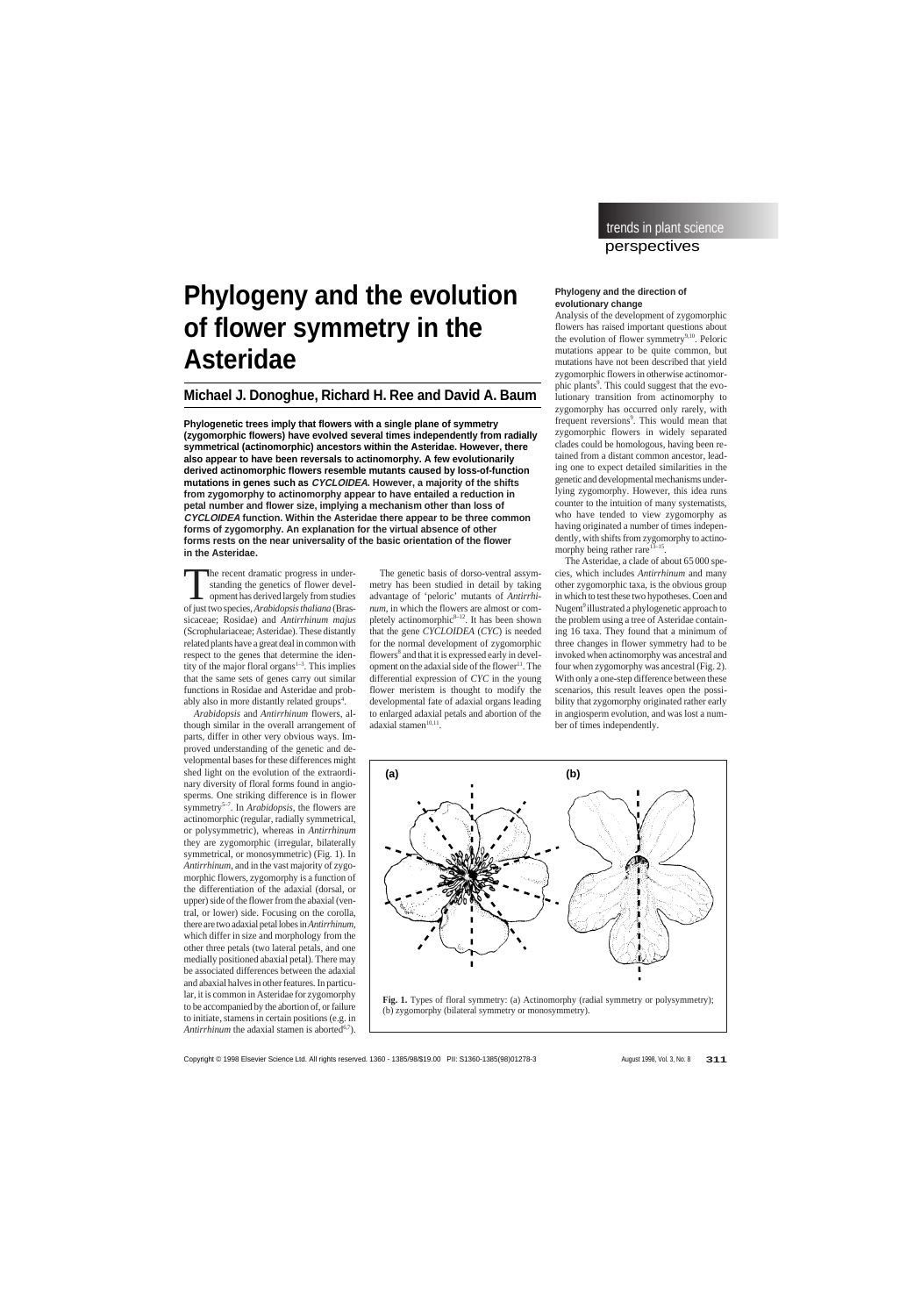# **Phylogeny and the evolution of flower symmetry in the Asteridae**

## **Michael J. Donoghue, Richard H. Ree and David A. Baum**

**Phylogenetic trees imply that flowers with a single plane of symmetry (zygomorphic flowers) have evolved several times independently from radially symmetrical (actinomorphic) ancestors within the Asteridae. However, there also appear to have been reversals to actinomorphy. A few evolutionarily derived actinomorphic flowers resemble mutants caused by loss-of-function mutations in genes such as CYCLOIDEA. However, a majority of the shifts from zygomorphy to actinomorphy appear to have entailed a reduction in petal number and flower size, implying a mechanism other than loss of CYCLOIDEA function. Within the Asteridae there appear to be three common forms of zygomorphy. An explanation for the virtual absence of other forms rests on the near universality of the basic orientation of the flower in the Asteridae.**

The recent dramatic progress in under-<br>standing the genetics of flower devel-<br>opment has derived largely from studies<br>of just two species Arabidonsis theliana (Brasstanding the genetics of flower development has derived largely from studies of just two species, *Arabidopsis thaliana* (Brassicaceae; Rosidae) and *Antirrhinum majus* (Scrophulariaceae; Asteridae). These distantly related plants have a great deal in common with respect to the genes that determine the identity of the major floral organs $1-3$ . This implies that the same sets of genes carry out similar functions in Rosidae and Asteridae and probably also in more distantly related groups<sup>4</sup>.

*Arabidopsis* and *Antirrhinum* flowers, although similar in the overall arrangement of parts, differ in other very obvious ways. Improved understanding of the genetic and developmental bases for these differences might shed light on the evolution of the extraordinary diversity of floral forms found in angiosperms. One striking difference is in flower symmetry<sup>5-7</sup>. In *Arabidopsis*, the flowers are actinomorphic (regular, radially symmetrical, or polysymmetric), whereas in *Antirrhinum* they are zygomorphic (irregular, bilaterally symmetrical, or monosymmetric) (Fig. 1). In *Antirrhinum*, and in the vast majority of zygomorphic flowers, zygomorphy is a function of the differentiation of the adaxial (dorsal, or upper) side of the flower from the abaxial (ventral, or lower) side. Focusing on the corolla, there are two adaxial petal lobes in *Antirrhinum*, which differ in size and morphology from the other three petals (two lateral petals, and one medially positioned abaxial petal). There may be associated differences between the adaxial and abaxial halves in other features. In particular, it is common in Asteridae for zygomorphy to be accompanied by the abortion of, or failure to initiate, stamens in certain positions (e.g. in *Antirrhinum* the adaxial stamen is aborted<sup>6,7</sup>).

The genetic basis of dorso-ventral assymmetry has been studied in detail by taking advantage of 'peloric' mutants of *Antirrhinum*, in which the flowers are almost or completely actinomorphic<sup>8–12</sup>. It has been shown that the gene *CYCLOIDEA* (*CYC*) is needed for the normal development of zygomorphic flowers<sup>8</sup> and that it is expressed early in development on the adaxial side of the flower $11$ . The differential expression of *CYC* in the young flower meristem is thought to modify the developmental fate of adaxial organs leading to enlarged adaxial petals and abortion of the adaxial stamen $10,11$ .

#### **Phylogeny and the direction of evolutionary change**

Analysis of the development of zygomorphic flowers has raised important questions about the evolution of flower symmetry<sup>9,10</sup>. Peloric mutations appear to be quite common, but mutations have not been described that yield zygomorphic flowers in otherwise actinomorphic plants<sup>9</sup>. This could suggest that the evolutionary transition from actinomorphy to zygomorphy has occurred only rarely, with frequent reversions<sup>9</sup>. This would mean that zygomorphic flowers in widely separated clades could be homologous, having been retained from a distant common ancestor, leading one to expect detailed similarities in the genetic and developmental mechanisms underlying zygomorphy. However, this idea runs counter to the intuition of many systematists, who have tended to view zygomorphy as having originated a number of times independently, with shifts from zygomorphy to actinomorphy being rather rare<sup>13-15</sup>.

The Asteridae, a clade of about 65 000 species, which includes *Antirrhinum* and many other zygomorphic taxa, is the obvious group in which to test these two hypotheses. Coen and Nugent<sup>9</sup> illustrated a phylogenetic approach to the problem using a tree of Asteridae containing 16 taxa. They found that a minimum of three changes in flower symmetry had to be invoked when actinomorphy was ancestral and four when zygomorphy was ancestral (Fig. 2). With only a one-step difference between these scenarios, this result leaves open the possibility that zygomorphy originated rather early in angiosperm evolution, and was lost a number of times independently.



Fig. 1. Types of floral symmetry: (a) Actinomorphy (radial symmetry or polysymmetry); (b) zygomorphy (bilateral symmetry or monosymmetry).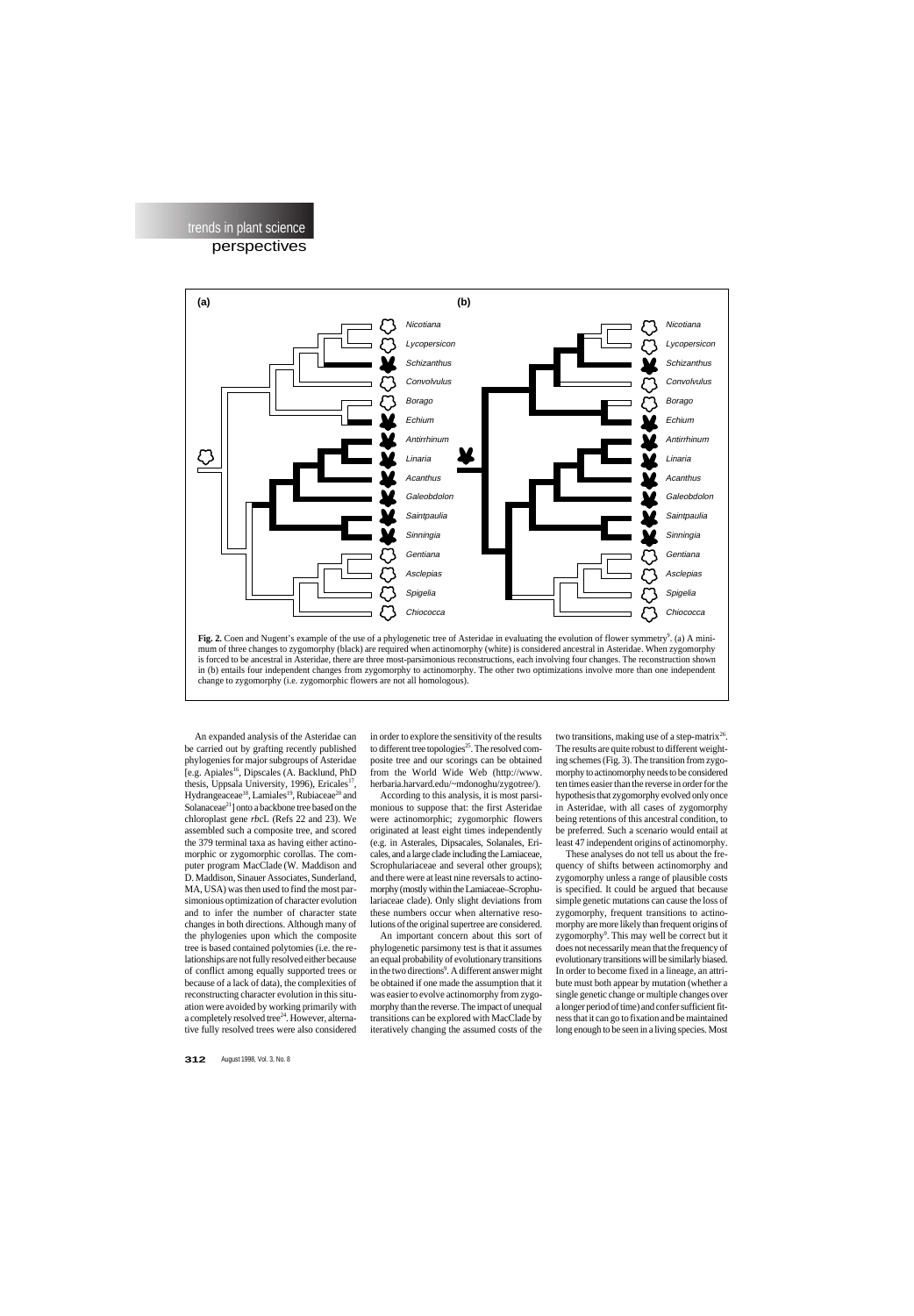

mum of three changes to zygomorphy (black) are required when actinomorphy (white) is considered ancestral in Asteridae. When zygomorphy is forced to be ancestral in Asteridae, there are three most-parsimonious reconstructions, each involving four changes. The reconstruction shown in (b) entails four independent changes from zygomorphy to actinomorphy. The other two optimizations involve more than one independent change to zygomorphy (i.e. zygomorphic flowers are not all homologous).

An expanded analysis of the Asteridae can be carried out by grafting recently published phylogenies for major subgroups of Asteridae [e.g. Apiales16, Dipscales (A. Backlund, PhD thesis, Uppsala University, 1996), Ericales<sup>17</sup>, Hydrangeaceae<sup>18</sup>, Lamiales<sup>19</sup>, Rubiaceae<sup>20</sup> and Solanaceae<sup>21</sup>] onto a backbone tree based on the chloroplast gene *rbc*L (Refs 22 and 23). We assembled such a composite tree, and scored the 379 terminal taxa as having either actinomorphic or zygomorphic corollas. The computer program MacClade (W. Maddison and D. Maddison, Sinauer Associates, Sunderland, MA, USA) was then used to find the most parsimonious optimization of character evolution and to infer the number of character state changes in both directions. Although many of the phylogenies upon which the composite tree is based contained polytomies (i.e. the relationships are not fully resolved either because of conflict among equally supported trees or because of a lack of data), the complexities of reconstructing character evolution in this situation were avoided by working primarily with a completely resolved tree<sup>24</sup>. However, alternative fully resolved trees were also considered

in order to explore the sensitivity of the results to different tree topologies<sup>25</sup>. The resolved composite tree and our scorings can be obtained from the World Wide Web (http://www. herbaria.harvard.edu/~mdonoghu/zygotree/).

According to this analysis, it is most parsimonious to suppose that: the first Asteridae were actinomorphic; zygomorphic flowers originated at least eight times independently (e.g. in Asterales, Dipsacales, Solanales, Ericales, and a large clade including the Lamiaceae, Scrophulariaceae and several other groups); and there were at least nine reversals to actinomorphy (mostly within the Lamiaceae–Scrophulariaceae clade). Only slight deviations from these numbers occur when alternative resolutions of the original supertree are considered.

An important concern about this sort of phylogenetic parsimony test is that it assumes an equal probability of evolutionary transitions in the two directions<sup>9</sup>. A different answer might be obtained if one made the assumption that it was easier to evolve actinomorphy from zygomorphy than the reverse. The impact of unequal transitions can be explored with MacClade by iteratively changing the assumed costs of the

two transitions, making use of a step-matrix<sup>26</sup>. The results are quite robust to different weighting schemes (Fig. 3). The transition from zygomorphy to actinomorphy needs to be considered ten times easier than the reverse in order for the hypothesis that zygomorphy evolved only once in Asteridae, with all cases of zygomorphy being retentions of this ancestral condition, to be preferred. Such a scenario would entail at least 47 independent origins of actinomorphy.

These analyses do not tell us about the frequency of shifts between actinomorphy and zygomorphy unless a range of plausible costs is specified. It could be argued that because simple genetic mutations can cause the loss of zygomorphy, frequent transitions to actinomorphy are more likely than frequent origins of zygomorphy<sup>9</sup>. This may well be correct but it does not necessarily mean that the frequency of evolutionary transitions will be similarly biased. In order to become fixed in a lineage, an attribute must both appear by mutation (whether a single genetic change or multiple changes over a longer period of time) and confer sufficient fitness that it can go to fixation and be maintained long enough to be seen in a living species. Most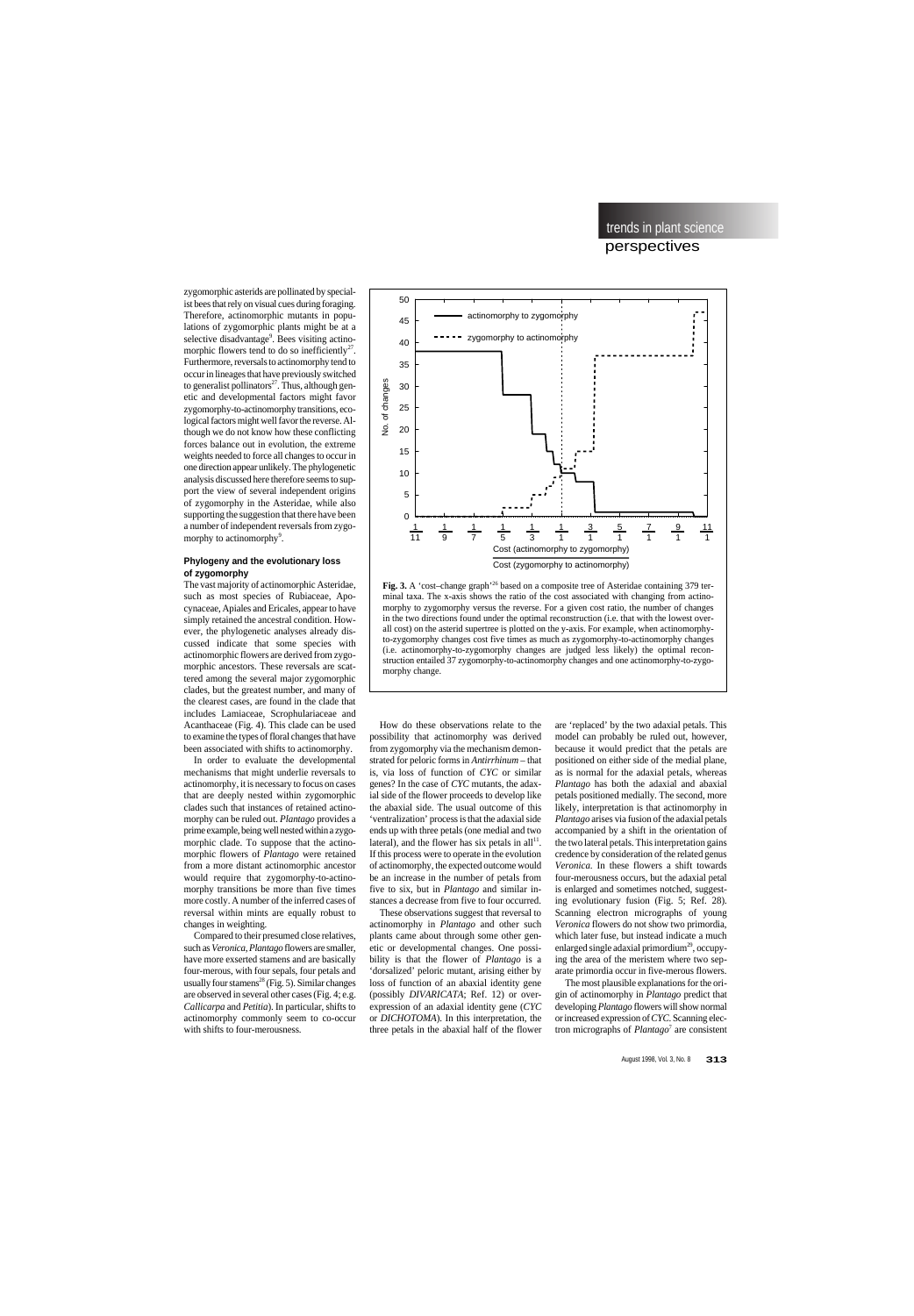zygomorphic asterids are pollinated by specialist bees that rely on visual cues during foraging. Therefore, actinomorphic mutants in populations of zygomorphic plants might be at a selective disadvantage<sup>9</sup>. Bees visiting actinomorphic flowers tend to do so inefficiently<sup>27</sup>. Furthermore, reversals to actinomorphy tend to occur in lineages that have previously switched to generalist pollinators<sup>27</sup>. Thus, although genetic and developmental factors might favor zygomorphy-to-actinomorphy transitions, ecological factors might well favor the reverse. Although we do not know how these conflicting forces balance out in evolution, the extreme weights needed to force all changes to occur in one direction appear unlikely. The phylogenetic analysis discussed here therefore seems to support the view of several independent origins of zygomorphy in the Asteridae, while also supporting the suggestion that there have been a number of independent reversals from zygomorphy to actinomorphy<sup>9</sup>.

#### **Phylogeny and the evolutionary loss of zygomorphy**

The vast majority of actinomorphic Asteridae, such as most species of Rubiaceae, Apocynaceae, Apiales and Ericales, appear to have simply retained the ancestral condition. However, the phylogenetic analyses already discussed indicate that some species with actinomorphic flowers are derived from zygomorphic ancestors. These reversals are scattered among the several major zygomorphic clades, but the greatest number, and many of the clearest cases, are found in the clade that includes Lamiaceae, Scrophulariaceae and Acanthaceae (Fig. 4). This clade can be used to examine the types of floral changes that have been associated with shifts to actinomorphy.

In order to evaluate the developmental mechanisms that might underlie reversals to actinomorphy, it is necessary to focus on cases that are deeply nested within zygomorphic clades such that instances of retained actinomorphy can be ruled out. *Plantago* provides a prime example, being well nested within a zygomorphic clade. To suppose that the actinomorphic flowers of *Plantago* were retained from a more distant actinomorphic ancestor would require that zygomorphy-to-actinomorphy transitions be more than five times more costly. A number of the inferred cases of reversal within mints are equally robust to changes in weighting.

Compared to their presumed close relatives, such as *Veronica*, *Plantago* flowers are smaller, have more exserted stamens and are basically four-merous, with four sepals, four petals and usually four stamens<sup>28</sup> (Fig. 5). Similar changes are observed in several other cases (Fig. 4; e.g. *Callicarpa* and *Petitia*). In particular, shifts to actinomorphy commonly seem to co-occur with shifts to four-merousness.



Fig. 3. A 'cost-change graph'<sup>26</sup> based on a composite tree of Asteridae containing 379 terminal taxa. The x-axis shows the ratio of the cost associated with changing from actinomorphy to zygomorphy versus the reverse. For a given cost ratio, the number of changes in the two directions found under the optimal reconstruction (i.e. that with the lowest overall cost) on the asterid supertree is plotted on the y-axis. For example, when actinomorphyto-zygomorphy changes cost five times as much as zygomorphy-to-actinomorphy changes (i.e. actinomorphy-to-zygomorphy changes are judged less likely) the optimal reconstruction entailed 37 zygomorphy-to-actinomorphy changes and one actinomorphy-to-zygomorphy change.

How do these observations relate to the possibility that actinomorphy was derived from zygomorphy via the mechanism demonstrated for peloric forms in *Antirrhinum* – that is, via loss of function of *CYC* or similar genes? In the case of *CYC* mutants, the adaxial side of the flower proceeds to develop like the abaxial side. The usual outcome of this 'ventralization' process is that the adaxial side ends up with three petals (one medial and two lateral), and the flower has six petals in all $11$ . If this process were to operate in the evolution of actinomorphy, the expected outcome would be an increase in the number of petals from five to six, but in *Plantago* and similar instances a decrease from five to four occurred.

These observations suggest that reversal to actinomorphy in *Plantago* and other such plants came about through some other genetic or developmental changes. One possibility is that the flower of *Plantago* is a 'dorsalized' peloric mutant, arising either by loss of function of an abaxial identity gene (possibly *DIVARICATA*; Ref. 12) or overexpression of an adaxial identity gene (*CYC* or *DICHOTOMA*). In this interpretation, the three petals in the abaxial half of the flower

are 'replaced' by the two adaxial petals. This model can probably be ruled out, however, because it would predict that the petals are positioned on either side of the medial plane, as is normal for the adaxial petals, whereas *Plantago* has both the adaxial and abaxial petals positioned medially. The second, more likely, interpretation is that actinomorphy in *Plantago* arises via fusion of the adaxial petals accompanied by a shift in the orientation of the two lateral petals. This interpretation gains credence by consideration of the related genus *Veronica*. In these flowers a shift towards four-merousness occurs, but the adaxial petal is enlarged and sometimes notched, suggesting evolutionary fusion (Fig. 5; Ref. 28). Scanning electron micrographs of young *Veronica* flowers do not show two primordia, which later fuse, but instead indicate a much enlarged single adaxial primordium<sup>29</sup>, occupying the area of the meristem where two separate primordia occur in five-merous flowers.

The most plausible explanations for the origin of actinomorphy in *Plantago* predict that developing *Plantago* flowers will show normal or increased expression of *CYC*. Scanning electron micrographs of *Plantago*<sup>7</sup> are consistent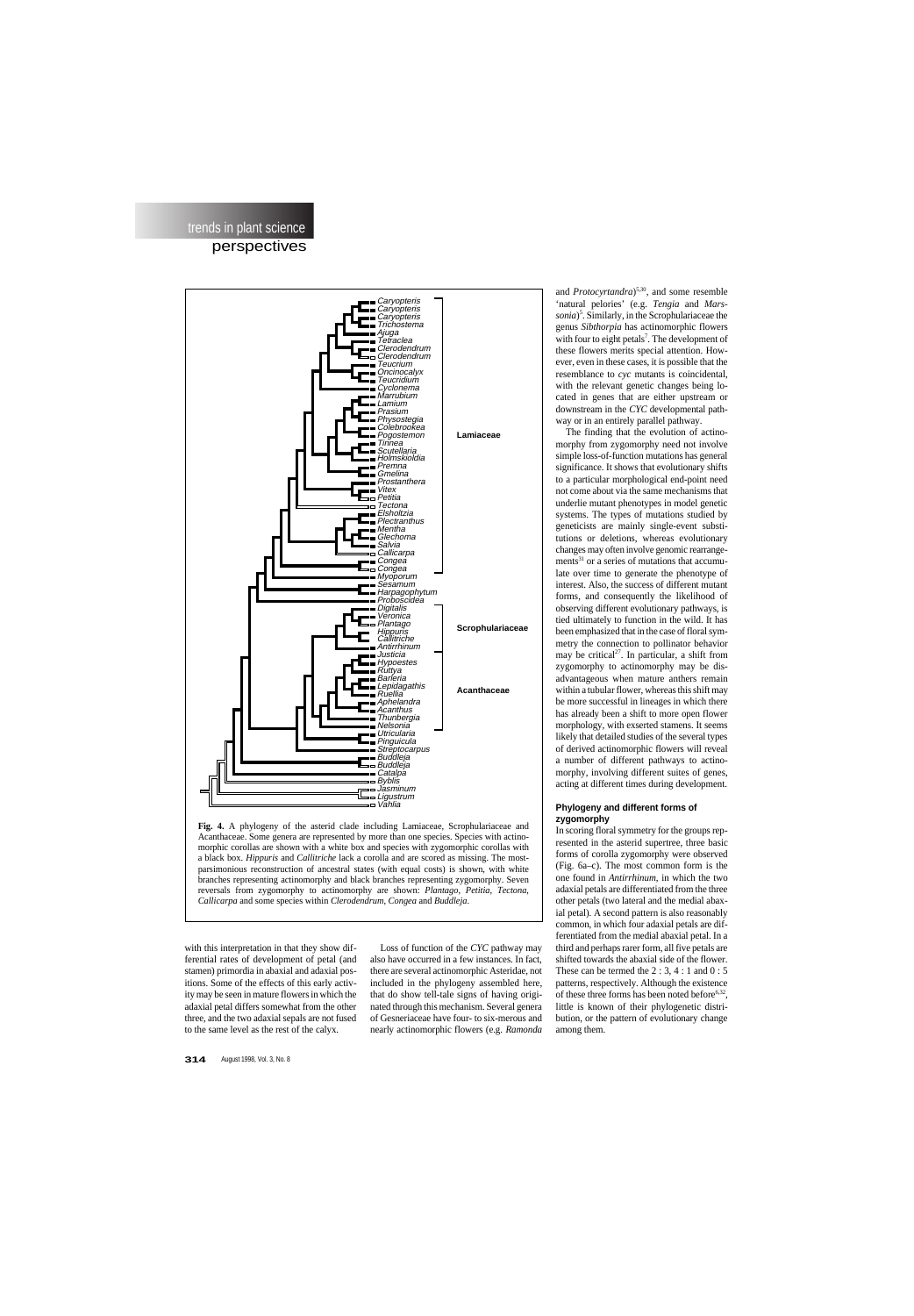

**Fig. 4.** A phylogeny of the asterid clade including Lamiaceae, Scrophulariaceae and Acanthaceae. Some genera are represented by more than one species. Species with actinomorphic corollas are shown with a white box and species with zygomorphic corollas with a black box. *Hippuris* and *Callitriche* lack a corolla and are scored as missing. The mostparsimonious reconstruction of ancestral states (with equal costs) is shown, with white branches representing actinomorphy and black branches representing zygomorphy. Seven reversals from zygomorphy to actinomorphy are shown: *Plantago*, *Petitia*, *Tectona*, *Callicarpa* and some species within *Clerodendrum*, *Congea* and *Buddleja*.

with this interpretation in that they show differential rates of development of petal (and stamen) primordia in abaxial and adaxial positions. Some of the effects of this early activity may be seen in mature flowers in which the adaxial petal differs somewhat from the other three, and the two adaxial sepals are not fused to the same level as the rest of the calyx.

Loss of function of the *CYC* pathway may also have occurred in a few instances. In fact, there are several actinomorphic Asteridae, not included in the phylogeny assembled here, that do show tell-tale signs of having originated through this mechanism. Several genera of Gesneriaceae have four- to six-merous and nearly actinomorphic flowers (e.g. *Ramonda*

and *Protocyrtandra*) 5,30, and some resemble 'natural pelories' (e.g. *Tengia* and *Marssonia*) 5 . Similarly, in the Scrophulariaceae the genus *Sibthorpia* has actinomorphic flowers with four to eight petals<sup>7</sup>. The development of these flowers merits special attention. However, even in these cases, it is possible that the resemblance to *cyc* mutants is coincidental, with the relevant genetic changes being located in genes that are either upstream or downstream in the *CYC* developmental pathway or in an entirely parallel pathway.

The finding that the evolution of actinomorphy from zygomorphy need not involve simple loss-of-function mutations has general significance. It shows that evolutionary shifts to a particular morphological end-point need not come about via the same mechanisms that underlie mutant phenotypes in model genetic systems. The types of mutations studied by geneticists are mainly single-event substitutions or deletions, whereas evolutionary changes may often involve genomic rearrangements<sup>31</sup> or a series of mutations that accumulate over time to generate the phenotype of interest. Also, the success of different mutant forms, and consequently the likelihood of observing different evolutionary pathways, is tied ultimately to function in the wild. It has been emphasized that in the case of floral symmetry the connection to pollinator behavior may be critical<sup>27</sup>. In particular, a shift from zygomorphy to actinomorphy may be disadvantageous when mature anthers remain within a tubular flower, whereas this shift may be more successful in lineages in which there has already been a shift to more open flower morphology, with exserted stamens. It seems likely that detailed studies of the several types of derived actinomorphic flowers will reveal a number of different pathways to actinomorphy, involving different suites of genes, acting at different times during development.

#### **Phylogeny and different forms of zygomorphy**

In scoring floral symmetry for the groups represented in the asterid supertree, three basic forms of corolla zygomorphy were observed (Fig. 6a–c). The most common form is the one found in *Antirrhinum*, in which the two adaxial petals are differentiated from the three other petals (two lateral and the medial abaxial petal). A second pattern is also reasonably common, in which four adaxial petals are differentiated from the medial abaxial petal. In a third and perhaps rarer form, all five petals are shifted towards the abaxial side of the flower. These can be termed the  $2:3, 4:1$  and  $0:5$ patterns, respectively. Although the existence of these three forms has been noted before $6,32$ , little is known of their phylogenetic distribution, or the pattern of evolutionary change among them.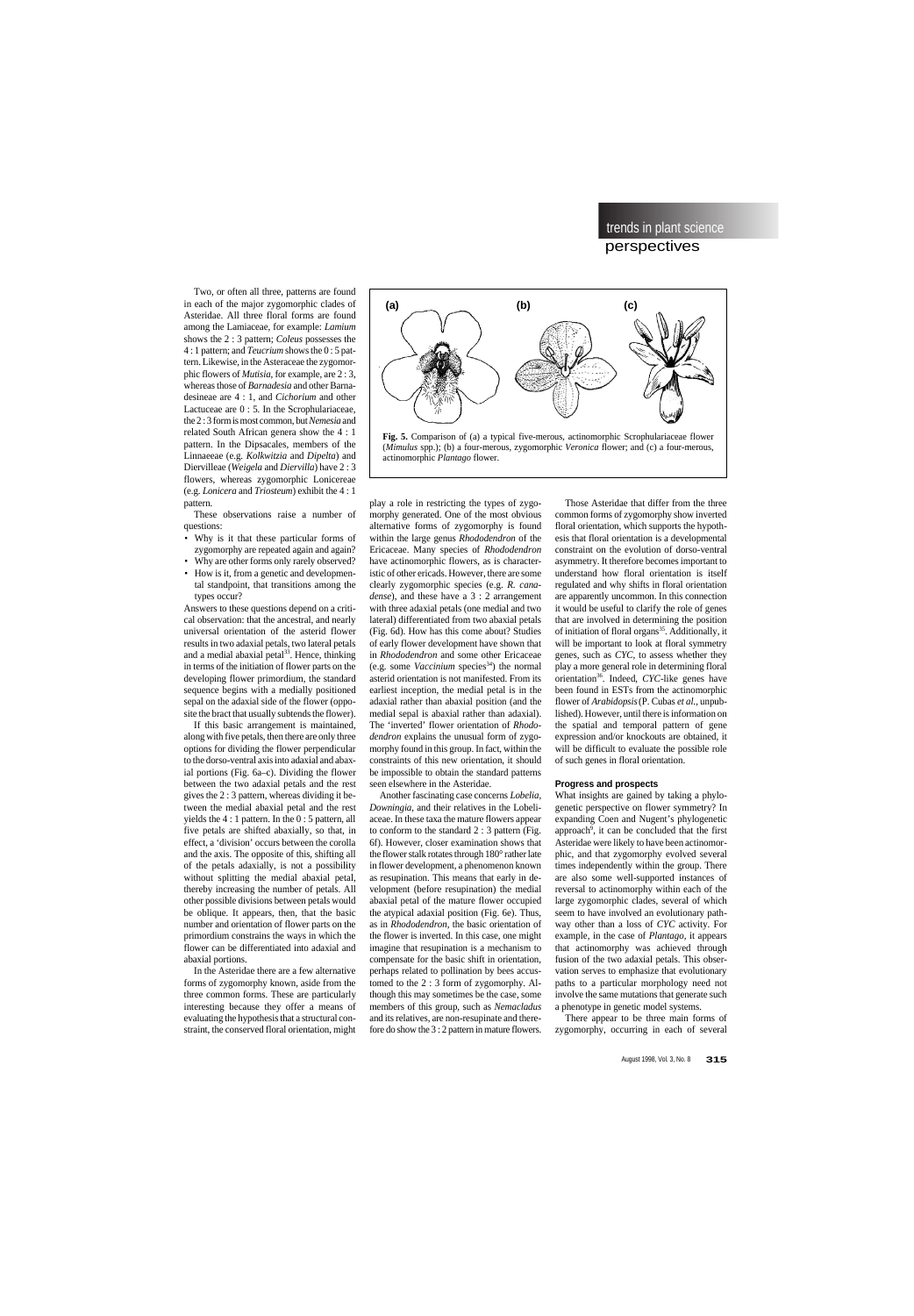trends in plant science perspectives

Two, or often all three, patterns are found in each of the major zygomorphic clades of Asteridae. All three floral forms are found among the Lamiaceae, for example: *Lamium* shows the 2 : 3 pattern; *Coleus* possesses the 4 : 1 pattern; and *Teucrium* shows the 0 : 5 pattern. Likewise, in the Asteraceae the zygomorphic flowers of *Mutisia*, for example, are 2 : 3, whereas those of *Barnadesia* and other Barnadesineae are 4 : 1, and *Cichorium* and other Lactuceae are 0 : 5. In the Scrophulariaceae, the 2 : 3 form is most common, but *Nemesia* and related South African genera show the 4 : 1 pattern. In the Dipsacales, members of the Linnaeeae (e.g. *Kolkwitzia* and *Dipelta*) and Diervilleae (*Weigela* and *Diervilla*) have 2 : 3 flowers, whereas zygomorphic Lonicereae (e.g. *Lonicera* and *Triosteum*) exhibit the 4 : 1 pattern.

These observations raise a number of questions:

- Why is it that these particular forms of zygomorphy are repeated again and again?
- Why are other forms only rarely observed?
- How is it, from a genetic and developmental standpoint, that transitions among the types occur?

Answers to these questions depend on a critical observation: that the ancestral, and nearly universal orientation of the asterid flower results in two adaxial petals, two lateral petals and a medial abaxial petal $33$ . Hence, thinking in terms of the initiation of flower parts on the developing flower primordium, the standard sequence begins with a medially positioned sepal on the adaxial side of the flower (opposite the bract that usually subtends the flower).

If this basic arrangement is maintained, along with five petals, then there are only three options for dividing the flower perpendicular to the dorso-ventral axis into adaxial and abaxial portions (Fig. 6a–c). Dividing the flower between the two adaxial petals and the rest gives the 2 : 3 pattern, whereas dividing it between the medial abaxial petal and the rest yields the 4 : 1 pattern. In the 0 : 5 pattern, all five petals are shifted abaxially, so that, in effect, a 'division' occurs between the corolla and the axis. The opposite of this, shifting all of the petals adaxially, is not a possibility without splitting the medial abaxial petal, thereby increasing the number of petals. All other possible divisions between petals would be oblique. It appears, then, that the basic number and orientation of flower parts on the primordium constrains the ways in which the flower can be differentiated into adaxial and abaxial portions.

In the Asteridae there are a few alternative forms of zygomorphy known, aside from the three common forms. These are particularly interesting because they offer a means of evaluating the hypothesis that a structural constraint, the conserved floral orientation, might

play a role in restricting the types of zygomorphy generated. One of the most obvious alternative forms of zygomorphy is found within the large genus *Rhododendron* of the Ericaceae. Many species of *Rhododendron* have actinomorphic flowers, as is characteristic of other ericads. However, there are some clearly zygomorphic species (e.g. *R. canadense*), and these have a 3 : 2 arrangement with three adaxial petals (one medial and two lateral) differentiated from two abaxial petals (Fig. 6d). How has this come about? Studies of early flower development have shown that in *Rhododendron* and some other Ericaceae (e.g. some *Vaccinium* species<sup>34</sup>) the normal asterid orientation is not manifested. From its earliest inception, the medial petal is in the adaxial rather than abaxial position (and the medial sepal is abaxial rather than adaxial). The 'inverted' flower orientation of *Rhododendron* explains the unusual form of zygomorphy found in this group. In fact, within the constraints of this new orientation, it should be impossible to obtain the standard patterns seen elsewhere in the Asteridae.

Another fascinating case concerns *Lobelia*, *Downingia*, and their relatives in the Lobeliaceae. In these taxa the mature flowers appear to conform to the standard 2 : 3 pattern (Fig. 6f). However, closer examination shows that the flower stalk rotates through 180° rather late in flower development, a phenomenon known as resupination. This means that early in development (before resupination) the medial abaxial petal of the mature flower occupied the atypical adaxial position (Fig. 6e). Thus, as in *Rhododendron*, the basic orientation of the flower is inverted. In this case, one might imagine that resupination is a mechanism to compensate for the basic shift in orientation, perhaps related to pollination by bees accustomed to the 2 : 3 form of zygomorphy. Although this may sometimes be the case, some members of this group, such as *Nemacladus* and its relatives, are non-resupinate and therefore do show the 3 : 2 pattern in mature flowers.

Those Asteridae that differ from the three common forms of zygomorphy show inverted floral orientation, which supports the hypothesis that floral orientation is a developmental constraint on the evolution of dorso-ventral asymmetry. It therefore becomes important to understand how floral orientation is itself regulated and why shifts in floral orientation are apparently uncommon. In this connection it would be useful to clarify the role of genes that are involved in determining the position of initiation of floral organs<sup>35</sup>. Additionally, it will be important to look at floral symmetry genes, such as *CYC*, to assess whether they play a more general role in determining floral orientation<sup>36</sup>. Indeed, *CYC*-like genes have been found in ESTs from the actinomorphic flower of *Arabidopsis*(P. Cubas *et al.*, unpublished). However, until there is information on the spatial and temporal pattern of gene expression and/or knockouts are obtained, it will be difficult to evaluate the possible role of such genes in floral orientation.

#### **Progress and prospects**

What insights are gained by taking a phylogenetic perspective on flower symmetry? In expanding Coen and Nugent's phylogenetic approach<sup>9</sup>, it can be concluded that the first Asteridae were likely to have been actinomorphic, and that zygomorphy evolved several times independently within the group. There are also some well-supported instances of reversal to actinomorphy within each of the large zygomorphic clades, several of which seem to have involved an evolutionary pathway other than a loss of *CYC* activity. For example, in the case of *Plantago*, it appears that actinomorphy was achieved through fusion of the two adaxial petals. This observation serves to emphasize that evolutionary paths to a particular morphology need not involve the same mutations that generate such a phenotype in genetic model systems.

There appear to be three main forms of zygomorphy, occurring in each of several



**Fig. 5.** Comparison of (a) a typical five-merous, actinomorphic Scrophulariaceae flower (*Mimulus* spp.); (b) a four-merous, zygomorphic *Veronica* flower; and (c) a four-merous, actinomorphic *Plantago* flower.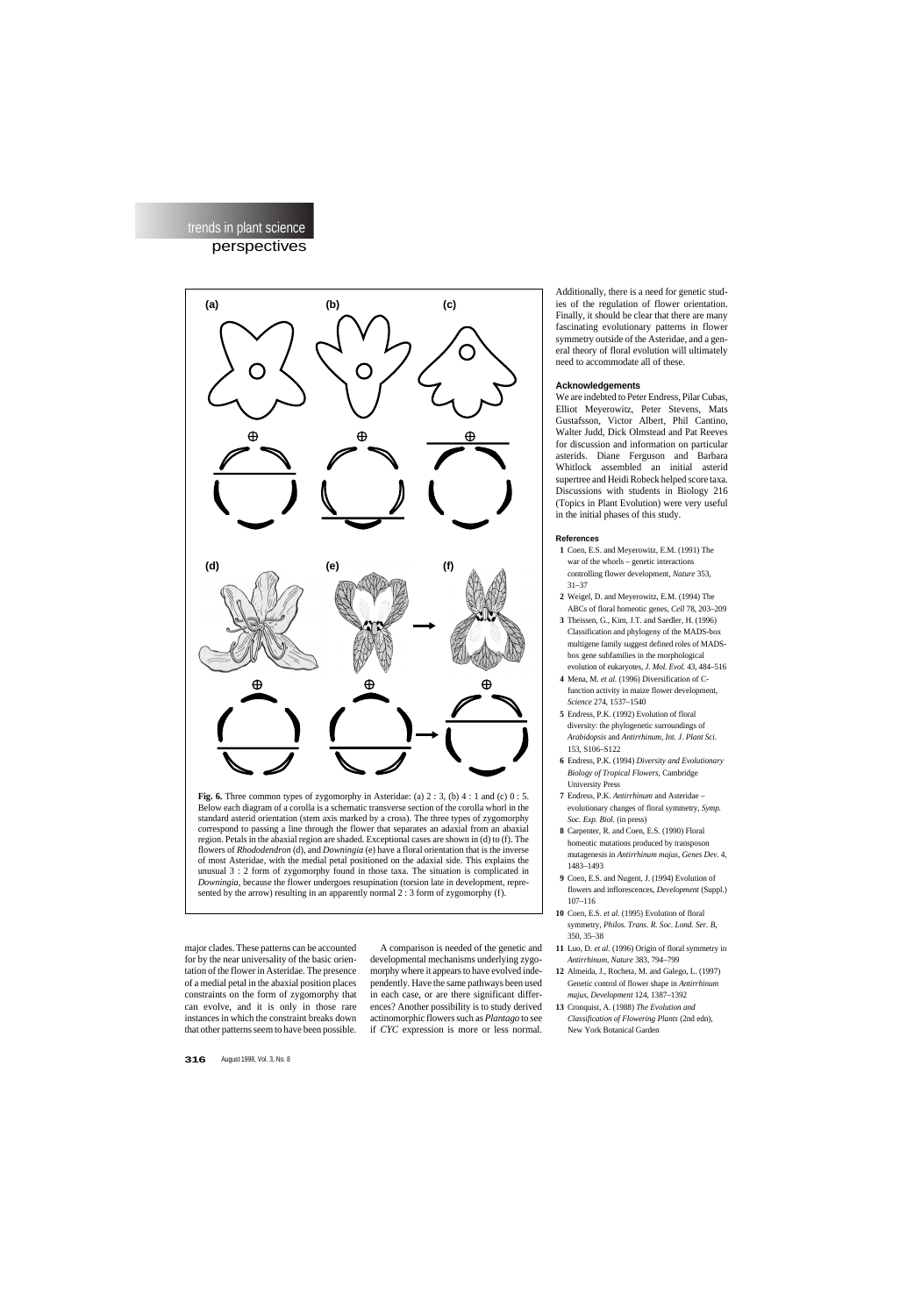

**Fig. 6.** Three common types of zygomorphy in Asteridae: (a) 2 : 3, (b) 4 : 1 and (c) 0 : 5. Below each diagram of a corolla is a schematic transverse section of the corolla whorl in the standard asterid orientation (stem axis marked by a cross). The three types of zygomorphy correspond to passing a line through the flower that separates an adaxial from an abaxial region. Petals in the abaxial region are shaded. Exceptional cases are shown in (d) to (f). The flowers of *Rhododendron* (d), and *Downingia* (e) have a floral orientation that is the inverse of most Asteridae, with the medial petal positioned on the adaxial side. This explains the unusual 3 : 2 form of zygomorphy found in those taxa. The situation is complicated in *Downingia*, because the flower undergoes resupination (torsion late in development, represented by the arrow) resulting in an apparently normal 2 : 3 form of zygomorphy (f).

major clades. These patterns can be accounted for by the near universality of the basic orientation of the flower in Asteridae. The presence of a medial petal in the abaxial position places constraints on the form of zygomorphy that can evolve, and it is only in those rare instances in which the constraint breaks down that other patterns seem to have been possible.

A comparison is needed of the genetic and developmental mechanisms underlying zygomorphy where it appears to have evolved independently. Have the same pathways been used in each case, or are there significant differences? Another possibility is to study derived actinomorphic flowers such as *Plantago* to see if *CYC* expression is more or less normal. Additionally, there is a need for genetic studies of the regulation of flower orientation. Finally, it should be clear that there are many fascinating evolutionary patterns in flower symmetry outside of the Asteridae, and a general theory of floral evolution will ultimately need to accommodate all of these.

#### **Acknowledgements**

We are indebted to Peter Endress, Pilar Cubas, Elliot Meyerowitz, Peter Stevens, Mats Gustafsson, Victor Albert, Phil Cantino, Walter Judd, Dick Olmstead and Pat Reeves for discussion and information on particular asterids. Diane Ferguson and Barbara Whitlock assembled an initial asterid supertree and Heidi Robeck helped score taxa. Discussions with students in Biology 216 (Topics in Plant Evolution) were very useful in the initial phases of this study.

#### **References**

- **01** Coen, E.S. and Meyerowitz, E.M. (1991) The war of the whorls – genetic interactions controlling flower development, *Nature* 353, 31–37
- **02** Weigel, D. and Meyerowitz, E.M. (1994) The ABCs of floral homeotic genes, *Cell* 78, 203–209
- **03** Theissen, G., Kim, J.T. and Saedler, H. (1996) Classification and phylogeny of the MADS-box multigene family suggest defined roles of MADSbox gene subfamilies in the morphological evolution of eukaryotes, *J. Mol. Evol.* 43, 484–516
- **04** Mena, M. *et al.* (1996) Diversification of Cfunction activity in maize flower development, *Science* 274, 1537–1540
- **05** Endress, P.K. (1992) Evolution of floral diversity: the phylogenetic surroundings of *Arabidopsis* and *Antirrhinum*, *Int. J. Plant Sci.* 153, S106–S122
- **06** Endress, P.K. (1994) *Diversity and Evolutionary Biology of Tropical Flowers*, Cambridge University Press
- **07** Endress, P.K. *Antirrhinum* and Asteridae evolutionary changes of floral symmetry, *Symp. Soc. Exp. Biol.* (in press)
- **08** Carpenter, R. and Coen, E.S. (1990) Floral homeotic mutations produced by transposon mutagenesis in *Antirrhinum majus*, *Genes Dev.* 4, 1483–1493
- **09** Coen, E.S. and Nugent, J. (1994) Evolution of flowers and inflorescences, *Development* (Suppl.) 107–116
- **10** Coen, E.S. *et al.* (1995) Evolution of floral symmetry, *Philos. Trans. R. Soc. Lond. Ser. B*, 350, 35–38
- **11** Luo, D. *et al.* (1996) Origin of floral symmetry in *Antirrhinum*, *Nature* 383, 794–799
- **12** Almeida, J., Rocheta, M. and Galego, L. (1997) Genetic control of flower shape in *Antirrhinum majus*, *Development* 124, 1387–1392
- **13** Cronquist, A. (1988) *The Evolution and Classification of Flowering Plants* (2nd edn), New York Botanical Garden